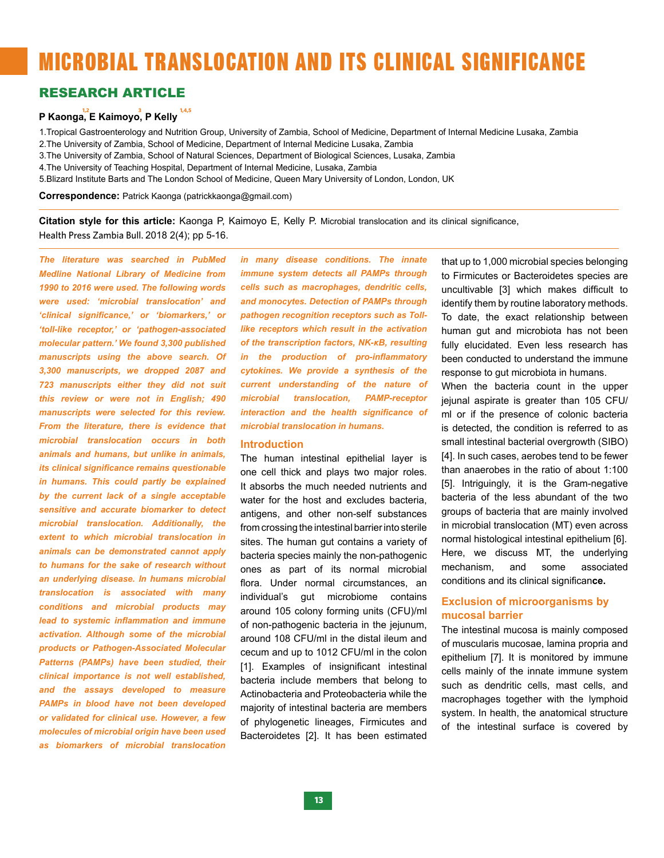# MICROBIAL TRANSLOCATION AND ITS CLINICAL SIGNIFICANCE

### RESEARCH ARTICLE

# **P Kaonga, E Kaimoyo, P Kelly 1,2 <sup>3</sup> 1,4,5**

1.Tropical Gastroenterology and Nutrition Group, University of Zambia, School of Medicine, Department of Internal Medicine Lusaka, Zambia 2.The University of Zambia, School of Medicine, Department of Internal Medicine Lusaka, Zambia

3.The University of Zambia, School of Natural Sciences, Department of Biological Sciences, Lusaka, Zambia

4.The University of Teaching Hospital, Department of Internal Medicine, Lusaka, Zambia

5.Blizard Institute Barts and The London School of Medicine, Queen Mary University of London, London, UK

**Correspondence:** Patrick Kaonga (patrickkaonga@gmail.com)

**Citation style for this article:** Kaonga P, Kaimoyo E, Kelly P. Microbial translocation and its clinical significance, Health Press Zambia Bull. 2018 2(4); pp 5-16.

*The literature was searched in PubMed Medline National Library of Medicine from 1990 to 2016 were used. The following words were used: 'microbial translocation' and 'clinical significance,' or 'biomarkers,' or 'toll-like receptor,' or 'pathogen-associated molecular pattern.' We found 3,300 published manuscripts using the above search. Of 3,300 manuscripts, we dropped 2087 and 723 manuscripts either they did not suit this review or were not in English; 490 manuscripts were selected for this review. From the literature, there is evidence that microbial translocation occurs in both animals and humans, but unlike in animals, its clinical significance remains questionable in humans. This could partly be explained by the current lack of a single acceptable sensitive and accurate biomarker to detect microbial translocation. Additionally, the extent to which microbial translocation in animals can be demonstrated cannot apply to humans for the sake of research without an underlying disease. In humans microbial translocation is associated with many conditions and microbial products may lead to systemic inflammation and immune activation. Although some of the microbial products or Pathogen-Associated Molecular Patterns (PAMPs) have been studied, their clinical importance is not well established, and the assays developed to measure PAMPs in blood have not been developed or validated for clinical use. However, a few molecules of microbial origin have been used as biomarkers of microbial translocation* 

*in many disease conditions. The innate immune system detects all PAMPs through cells such as macrophages, dendritic cells, and monocytes. Detection of PAMPs through pathogen recognition receptors such as Tolllike receptors which result in the activation of the transcription factors, NK-κB, resulting in the production of pro-inflammatory cytokines. We provide a synthesis of the current understanding of the nature of microbial translocation, PAMP-receptor interaction and the health significance of microbial translocation in humans.*

#### **Introduction**

The human intestinal epithelial layer is one cell thick and plays two major roles. It absorbs the much needed nutrients and water for the host and excludes bacteria, antigens, and other non-self substances from crossing the intestinal barrier into sterile sites. The human gut contains a variety of bacteria species mainly the non-pathogenic ones as part of its normal microbial flora. Under normal circumstances, an individual's gut microbiome contains around 105 colony forming units (CFU)/ml of non-pathogenic bacteria in the jejunum, around 108 CFU/ml in the distal ileum and cecum and up to 1012 CFU/ml in the colon [1]. Examples of insignificant intestinal bacteria include members that belong to Actinobacteria and Proteobacteria while the majority of intestinal bacteria are members of phylogenetic lineages, Firmicutes and Bacteroidetes [2]. It has been estimated

that up to 1,000 microbial species belonging to Firmicutes or Bacteroidetes species are uncultivable [3] which makes difficult to identify them by routine laboratory methods. To date, the exact relationship between human gut and microbiota has not been fully elucidated. Even less research has been conducted to understand the immune response to gut microbiota in humans.

When the bacteria count in the upper jejunal aspirate is greater than 105 CFU/ ml or if the presence of colonic bacteria is detected, the condition is referred to as small intestinal bacterial overgrowth (SIBO) [4]. In such cases, aerobes tend to be fewer than anaerobes in the ratio of about 1:100 [5]. Intriguingly, it is the Gram-negative bacteria of the less abundant of the two groups of bacteria that are mainly involved in microbial translocation (MT) even across normal histological intestinal epithelium [6]. Here, we discuss MT, the underlying mechanism, and some associated conditions and its clinical significan**ce.**

#### **Exclusion of microorganisms by mucosal barrier**

The intestinal mucosa is mainly composed of muscularis mucosae, lamina propria and epithelium [7]. It is monitored by immune cells mainly of the innate immune system such as dendritic cells, mast cells, and macrophages together with the lymphoid system. In health, the anatomical structure of the intestinal surface is covered by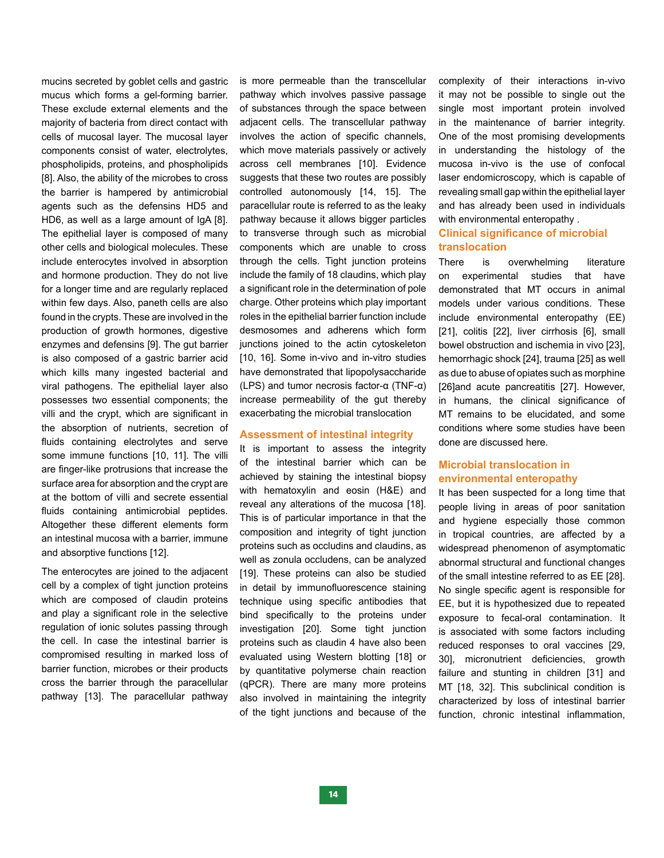mucins secreted by goblet cells and gastric mucus which forms a gel-forming barrier. These exclude external elements and the majority of bacteria from direct contact with cells of mucosal layer. The mucosal layer components consist of water, electrolytes, phospholipids, proteins, and phospholipids [8]. Also, the ability of the microbes to cross the barrier is hampered by antimicrobial agents such as the defensins HD5 and HD6, as well as a large amount of IgA [8]. The epithelial layer is composed of many other cells and biological molecules. These include enterocytes involved in absorption and hormone production. They do not live for a longer time and are regularly replaced within few days. Also, paneth cells are also found in the crypts. These are involved in the production of growth hormones, digestive enzymes and defensins [9]. The gut barrier is also composed of a gastric barrier acid which kills many ingested bacterial and viral pathogens. The epithelial layer also possesses two essential components; the villi and the crypt, which are significant in the absorption of nutrients, secretion of fluids containing electrolytes and serve some immune functions [10, 11]. The villi are finger-like protrusions that increase the surface area for absorption and the crypt are at the bottom of villi and secrete essential fluids containing antimicrobial peptides. Altogether these different elements form an intestinal mucosa with a barrier, immune and absorptive functions [12].

The enterocytes are joined to the adjacent cell by a complex of tight junction proteins which are composed of claudin proteins and play a significant role in the selective regulation of ionic solutes passing through the cell. In case the intestinal barrier is compromised resulting in marked loss of barrier function, microbes or their products cross the barrier through the paracellular pathway [13]. The paracellular pathway

is more permeable than the transcellular pathway which involves passive passage of substances through the space between adjacent cells. The transcellular pathway involves the action of specific channels, which move materials passively or actively across cell membranes [10]. Evidence suggests that these two routes are possibly controlled autonomously [14, 15]. The paracellular route is referred to as the leaky pathway because it allows bigger particles to transverse through such as microbial components which are unable to cross through the cells. Tight junction proteins include the family of 18 claudins, which play a significant role in the determination of pole charge. Other proteins which play important roles in the epithelial barrier function include desmosomes and adherens which form junctions joined to the actin cytoskeleton [10, 16]. Some in-vivo and in-vitro studies have demonstrated that lipopolysaccharide (LPS) and tumor necrosis factor-α (TNF-α) increase permeability of the gut thereby exacerbating the microbial translocation

#### **Assessment of intestinal integrity**

It is important to assess the integrity of the intestinal barrier which can be achieved by staining the intestinal biopsy with hematoxylin and eosin (H&E) and reveal any alterations of the mucosa [18]. This is of particular importance in that the composition and integrity of tight junction proteins such as occludins and claudins, as well as zonula occludens, can be analyzed [19]. These proteins can also be studied in detail by immunofluorescence staining technique using specific antibodies that bind specifically to the proteins under investigation [20]. Some tight junction proteins such as claudin 4 have also been evaluated using Western blotting [18] or by quantitative polymerse chain reaction (qPCR). There are many more proteins also involved in maintaining the integrity of the tight junctions and because of the complexity of their interactions in-vivo it may not be possible to single out the single most important protein involved in the maintenance of barrier integrity. One of the most promising developments in understanding the histology of the mucosa in-vivo is the use of confocal laser endomicroscopy, which is capable of revealing small gap within the epithelial layer and has already been used in individuals with environmental enteropathy .

#### **Clinical significance of microbial translocation**

There is overwhelming literature on experimental studies that have demonstrated that MT occurs in animal models under various conditions. These include environmental enteropathy (EE) [21], colitis [22], liver cirrhosis [6], small bowel obstruction and ischemia in vivo [23], hemorrhagic shock [24], trauma [25] as well as due to abuse of opiates such as morphine [26]and acute pancreatitis [27]. However, in humans, the clinical significance of MT remains to be elucidated, and some conditions where some studies have been done are discussed here.

#### **Microbial translocation in environmental enteropathy**

It has been suspected for a long time that people living in areas of poor sanitation and hygiene especially those common in tropical countries, are affected by a widespread phenomenon of asymptomatic abnormal structural and functional changes of the small intestine referred to as EE [28]. No single specific agent is responsible for EE, but it is hypothesized due to repeated exposure to fecal-oral contamination. It is associated with some factors including reduced responses to oral vaccines [29, 30], micronutrient deficiencies, growth failure and stunting in children [31] and MT [18, 32]. This subclinical condition is characterized by loss of intestinal barrier function, chronic intestinal inflammation,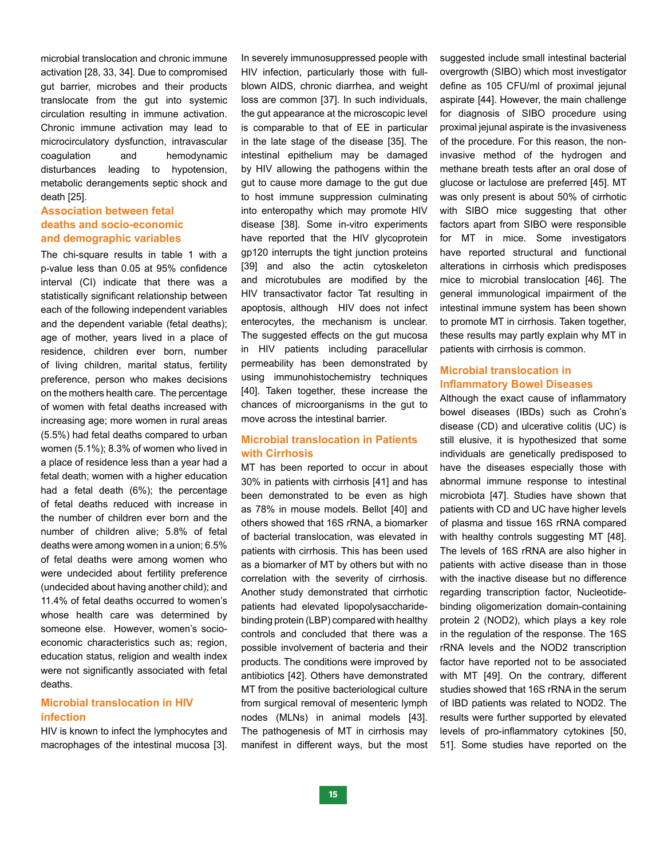microbial translocation and chronic immune activation [28, 33, 34]. Due to compromised gut barrier, microbes and their products translocate from the gut into systemic circulation resulting in immune activation. Chronic immune activation may lead to microcirculatory dysfunction, intravascular coagulation and hemodynamic disturbances leading to hypotension, metabolic derangements septic shock and death [25].

#### **Association between fetal deaths and socio-economic and demographic variables**

The chi-square results in table 1 with a p-value less than 0.05 at 95% confidence interval (CI) indicate that there was a statistically significant relationship between each of the following independent variables and the dependent variable (fetal deaths); age of mother, years lived in a place of residence, children ever born, number of living children, marital status, fertility preference, person who makes decisions on the mothers health care. The percentage of women with fetal deaths increased with increasing age; more women in rural areas (5.5%) had fetal deaths compared to urban women (5.1%); 8.3% of women who lived in a place of residence less than a year had a fetal death; women with a higher education had a fetal death (6%); the percentage of fetal deaths reduced with increase in the number of children ever born and the number of children alive; 5.8% of fetal deaths were among women in a union; 6.5% of fetal deaths were among women who were undecided about fertility preference (undecided about having another child); and 11.4% of fetal deaths occurred to women's whose health care was determined by someone else. However, women's socioeconomic characteristics such as; region, education status, religion and wealth index were not significantly associated with fetal deaths.

#### **Microbial translocation in HIV infection**

HIV is known to infect the lymphocytes and macrophages of the intestinal mucosa [3]. In severely immunosuppressed people with HIV infection, particularly those with fullblown AIDS, chronic diarrhea, and weight loss are common [37]. In such individuals, the gut appearance at the microscopic level is comparable to that of EE in particular in the late stage of the disease [35]. The intestinal epithelium may be damaged by HIV allowing the pathogens within the gut to cause more damage to the gut due to host immune suppression culminating into enteropathy which may promote HIV disease [38]. Some in-vitro experiments have reported that the HIV glycoprotein gp120 interrupts the tight junction proteins [39] and also the actin cytoskeleton and microtubules are modified by the HIV transactivator factor Tat resulting in apoptosis, although HIV does not infect enterocytes, the mechanism is unclear. The suggested effects on the gut mucosa in HIV patients including paracellular permeability has been demonstrated by using immunohistochemistry techniques [40]. Taken together, these increase the chances of microorganisms in the gut to move across the intestinal barrier.

#### **Microbial translocation in Patients with Cirrhosis**

MT has been reported to occur in about 30% in patients with cirrhosis [41] and has been demonstrated to be even as high as 78% in mouse models. Bellot [40] and others showed that 16S rRNA, a biomarker of bacterial translocation, was elevated in patients with cirrhosis. This has been used as a biomarker of MT by others but with no correlation with the severity of cirrhosis. Another study demonstrated that cirrhotic patients had elevated lipopolysaccharidebinding protein (LBP) compared with healthy controls and concluded that there was a possible involvement of bacteria and their products. The conditions were improved by antibiotics [42]. Others have demonstrated MT from the positive bacteriological culture from surgical removal of mesenteric lymph nodes (MLNs) in animal models [43]. The pathogenesis of MT in cirrhosis may manifest in different ways, but the most suggested include small intestinal bacterial overgrowth (SIBO) which most investigator define as 105 CFU/ml of proximal iejunal aspirate [44]. However, the main challenge for diagnosis of SIBO procedure using proximal jejunal aspirate is the invasiveness of the procedure. For this reason, the noninvasive method of the hydrogen and methane breath tests after an oral dose of glucose or lactulose are preferred [45]. MT was only present is about 50% of cirrhotic with SIBO mice suggesting that other factors apart from SIBO were responsible for MT in mice. Some investigators have reported structural and functional alterations in cirrhosis which predisposes mice to microbial translocation [46]. The general immunological impairment of the intestinal immune system has been shown to promote MT in cirrhosis. Taken together, these results may partly explain why MT in patients with cirrhosis is common.

#### **Microbial translocation in Inflammatory Bowel Diseases**

Although the exact cause of inflammatory bowel diseases (IBDs) such as Crohn's disease (CD) and ulcerative colitis (UC) is still elusive, it is hypothesized that some individuals are genetically predisposed to have the diseases especially those with abnormal immune response to intestinal microbiota [47]. Studies have shown that patients with CD and UC have higher levels of plasma and tissue 16S rRNA compared with healthy controls suggesting MT [48]. The levels of 16S rRNA are also higher in patients with active disease than in those with the inactive disease but no difference regarding transcription factor, Nucleotidebinding oligomerization domain-containing protein 2 (NOD2), which plays a key role in the regulation of the response. The 16S rRNA levels and the NOD2 transcription factor have reported not to be associated with MT [49]. On the contrary, different studies showed that 16S rRNA in the serum of IBD patients was related to NOD2. The results were further supported by elevated levels of pro-inflammatory cytokines [50, 51]. Some studies have reported on the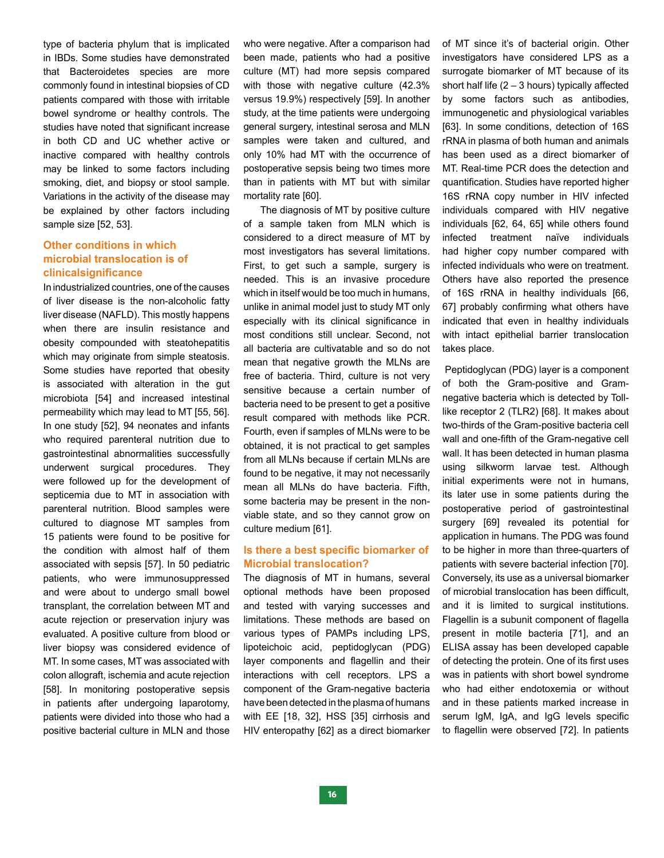type of bacteria phylum that is implicated in IBDs. Some studies have demonstrated that Bacteroidetes species are more commonly found in intestinal biopsies of CD patients compared with those with irritable bowel syndrome or healthy controls. The studies have noted that significant increase in both CD and UC whether active or inactive compared with healthy controls may be linked to some factors including smoking, diet, and biopsy or stool sample. Variations in the activity of the disease may be explained by other factors including sample size [52, 53].

#### **Other conditions in which microbial translocation is of clinicalsignificance**

In industrialized countries, one of the causes of liver disease is the non-alcoholic fatty liver disease (NAFLD). This mostly happens when there are insulin resistance and obesity compounded with steatohepatitis which may originate from simple steatosis. Some studies have reported that obesity is associated with alteration in the gut microbiota [54] and increased intestinal permeability which may lead to MT [55, 56]. In one study [52], 94 neonates and infants who required parenteral nutrition due to gastrointestinal abnormalities successfully underwent surgical procedures. They were followed up for the development of septicemia due to MT in association with parenteral nutrition. Blood samples were cultured to diagnose MT samples from 15 patients were found to be positive for the condition with almost half of them associated with sepsis [57]. In 50 pediatric patients, who were immunosuppressed and were about to undergo small bowel transplant, the correlation between MT and acute rejection or preservation injury was evaluated. A positive culture from blood or liver biopsy was considered evidence of MT. In some cases, MT was associated with colon allograft, ischemia and acute rejection [58]. In monitoring postoperative sepsis in patients after undergoing laparotomy, patients were divided into those who had a positive bacterial culture in MLN and those who were negative. After a comparison had been made, patients who had a positive culture (MT) had more sepsis compared with those with negative culture (42.3% versus 19.9%) respectively [59]. In another study, at the time patients were undergoing general surgery, intestinal serosa and MLN samples were taken and cultured, and only 10% had MT with the occurrence of postoperative sepsis being two times more than in patients with MT but with similar mortality rate [60].

 The diagnosis of MT by positive culture of a sample taken from MLN which is considered to a direct measure of MT by most investigators has several limitations. First, to get such a sample, surgery is needed. This is an invasive procedure which in itself would be too much in humans, unlike in animal model just to study MT only especially with its clinical significance in most conditions still unclear. Second, not all bacteria are cultivatable and so do not mean that negative growth the MLNs are free of bacteria. Third, culture is not very sensitive because a certain number of bacteria need to be present to get a positive result compared with methods like PCR. Fourth, even if samples of MLNs were to be obtained, it is not practical to get samples from all MLNs because if certain MLNs are found to be negative, it may not necessarily mean all MLNs do have bacteria. Fifth, some bacteria may be present in the nonviable state, and so they cannot grow on culture medium [61].

#### **Is there a best specific biomarker of Microbial translocation?**

The diagnosis of MT in humans, several optional methods have been proposed and tested with varying successes and limitations. These methods are based on various types of PAMPs including LPS, lipoteichoic acid, peptidoglycan (PDG) layer components and flagellin and their interactions with cell receptors. LPS a component of the Gram-negative bacteria have been detected in the plasma of humans with EE [18, 32], HSS [35] cirrhosis and HIV enteropathy [62] as a direct biomarker

of MT since it's of bacterial origin. Other investigators have considered LPS as a surrogate biomarker of MT because of its short half life  $(2 - 3$  hours) typically affected by some factors such as antibodies, immunogenetic and physiological variables [63]. In some conditions, detection of 16S rRNA in plasma of both human and animals has been used as a direct biomarker of MT. Real-time PCR does the detection and quantification. Studies have reported higher 16S rRNA copy number in HIV infected individuals compared with HIV negative individuals [62, 64, 65] while others found infected treatment naïve individuals had higher copy number compared with infected individuals who were on treatment. Others have also reported the presence of 16S rRNA in healthy individuals [66, 67] probably confirming what others have indicated that even in healthy individuals with intact epithelial barrier translocation takes place.

 Peptidoglycan (PDG) layer is a component of both the Gram-positive and Gramnegative bacteria which is detected by Tolllike receptor 2 (TLR2) [68]. It makes about two-thirds of the Gram-positive bacteria cell wall and one-fifth of the Gram-negative cell wall. It has been detected in human plasma using silkworm larvae test. Although initial experiments were not in humans, its later use in some patients during the postoperative period of gastrointestinal surgery [69] revealed its potential for application in humans. The PDG was found to be higher in more than three-quarters of patients with severe bacterial infection [70]. Conversely, its use as a universal biomarker of microbial translocation has been difficult, and it is limited to surgical institutions. Flagellin is a subunit component of flagella present in motile bacteria [71], and an ELISA assay has been developed capable of detecting the protein. One of its first uses was in patients with short bowel syndrome who had either endotoxemia or without and in these patients marked increase in serum IgM, IgA, and IgG levels specific to flagellin were observed [72]. In patients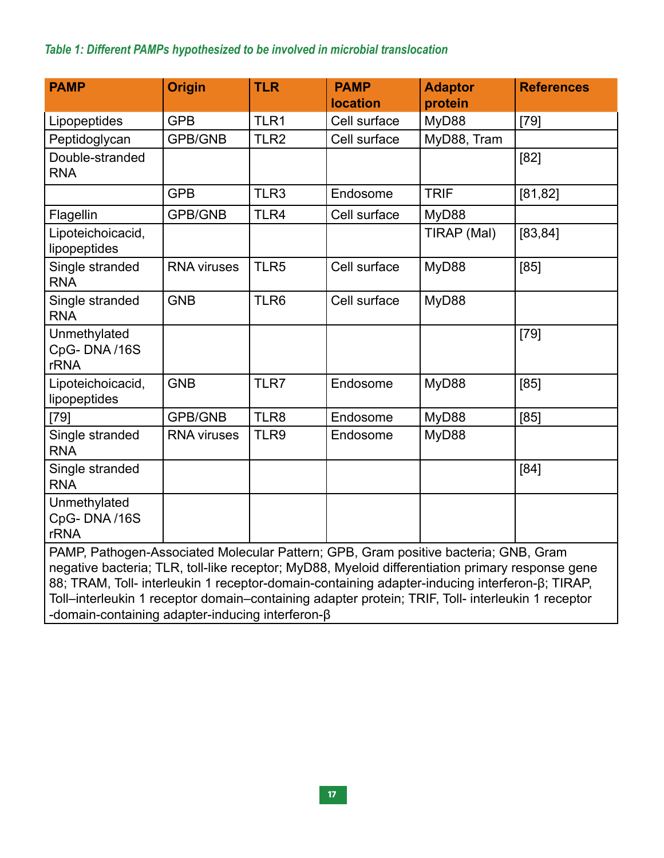## *Table 1: Different PAMPs hypothesized to be involved in microbial translocation*

| <b>PAMP</b>                                                                                                                                                                                                                                                                                                                                                                                    | <b>Origin</b>      | <b>TLR</b>       | <b>PAMP</b><br><b>location</b> | <b>Adaptor</b><br>protein | <b>References</b> |
|------------------------------------------------------------------------------------------------------------------------------------------------------------------------------------------------------------------------------------------------------------------------------------------------------------------------------------------------------------------------------------------------|--------------------|------------------|--------------------------------|---------------------------|-------------------|
| Lipopeptides                                                                                                                                                                                                                                                                                                                                                                                   | <b>GPB</b>         | TLR1             | Cell surface                   | MyD88                     | $[79]$            |
| Peptidoglycan                                                                                                                                                                                                                                                                                                                                                                                  | <b>GPB/GNB</b>     | TLR <sub>2</sub> | Cell surface                   | MyD88, Tram               |                   |
| Double-stranded<br><b>RNA</b>                                                                                                                                                                                                                                                                                                                                                                  |                    |                  |                                |                           | [82]              |
|                                                                                                                                                                                                                                                                                                                                                                                                | <b>GPB</b>         | TLR3             | Endosome                       | <b>TRIF</b>               | [81, 82]          |
| Flagellin                                                                                                                                                                                                                                                                                                                                                                                      | <b>GPB/GNB</b>     | TLR4             | Cell surface                   | MyD88                     |                   |
| Lipoteichoicacid,<br>lipopeptides                                                                                                                                                                                                                                                                                                                                                              |                    |                  |                                | TIRAP (Mal)               | [83, 84]          |
| Single stranded<br><b>RNA</b>                                                                                                                                                                                                                                                                                                                                                                  | <b>RNA viruses</b> | TLR5             | Cell surface                   | MyD88                     | [85]              |
| Single stranded<br><b>RNA</b>                                                                                                                                                                                                                                                                                                                                                                  | <b>GNB</b>         | TLR6             | Cell surface                   | MyD88                     |                   |
| Unmethylated<br>CpG-DNA/16S<br><b>rRNA</b>                                                                                                                                                                                                                                                                                                                                                     |                    |                  |                                |                           | $[79]$            |
| Lipoteichoicacid,<br>lipopeptides                                                                                                                                                                                                                                                                                                                                                              | <b>GNB</b>         | TLR7             | Endosome                       | MyD88                     | [85]              |
| $[79]$                                                                                                                                                                                                                                                                                                                                                                                         | <b>GPB/GNB</b>     | TLR8             | Endosome                       | MyD88                     | [85]              |
| Single stranded<br><b>RNA</b>                                                                                                                                                                                                                                                                                                                                                                  | <b>RNA viruses</b> | TLR9             | Endosome                       | MyD88                     |                   |
| Single stranded<br><b>RNA</b>                                                                                                                                                                                                                                                                                                                                                                  |                    |                  |                                |                           | [84]              |
| Unmethylated<br>CpG-DNA/16S<br><b>rRNA</b>                                                                                                                                                                                                                                                                                                                                                     |                    |                  |                                |                           |                   |
| PAMP, Pathogen-Associated Molecular Pattern; GPB, Gram positive bacteria; GNB, Gram<br>negative bacteria; TLR, toll-like receptor; MyD88, Myeloid differentiation primary response gene<br>88; TRAM, Toll- interleukin 1 receptor-domain-containing adapter-inducing interferon-β; TIRAP,<br>Toll-interleukin 1 receptor domain-containing adapter protein; TRIF, Toll- interleukin 1 receptor |                    |                  |                                |                           |                   |

-domain-containing adapter-inducing interferon-β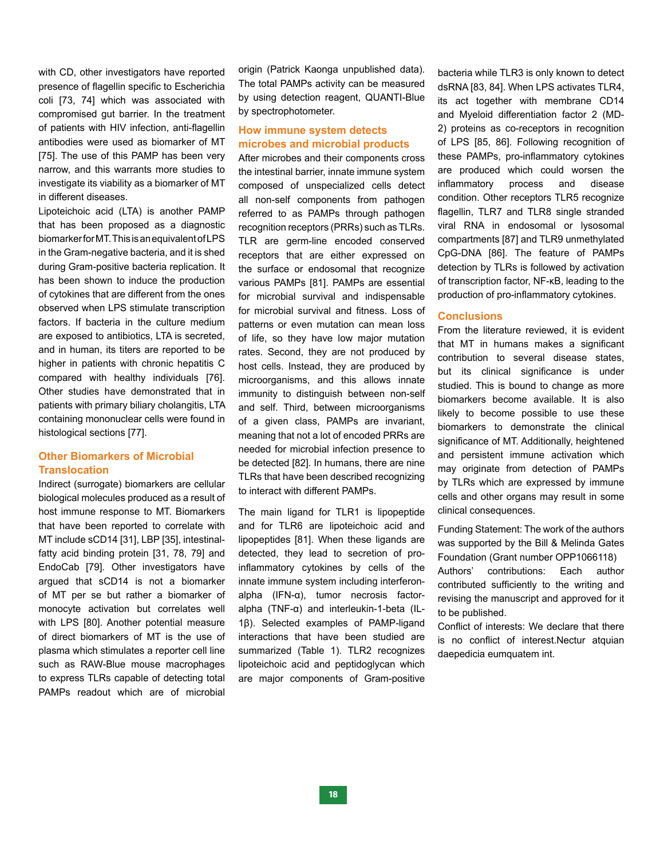with CD, other investigators have reported presence of flagellin specific to Escherichia coli [73, 74] which was associated with compromised gut barrier. In the treatment of patients with HIV infection, anti-flagellin antibodies were used as biomarker of MT [75]. The use of this PAMP has been very narrow, and this warrants more studies to investigate its viability as a biomarker of MT in different diseases.

Lipoteichoic acid (LTA) is another PAMP that has been proposed as a diagnostic biomarker for MT. This is an equivalent of LPS in the Gram-negative bacteria, and it is shed during Gram-positive bacteria replication. It has been shown to induce the production of cytokines that are different from the ones observed when LPS stimulate transcription factors. If bacteria in the culture medium are exposed to antibiotics, LTA is secreted, and in human, its titers are reported to be higher in patients with chronic hepatitis C compared with healthy individuals [76]. Other studies have demonstrated that in patients with primary biliary cholangitis, LTA containing mononuclear cells were found in histological sections [77].

#### **Other Biomarkers of Microbial Translocation**

Indirect (surrogate) biomarkers are cellular biological molecules produced as a result of host immune response to MT. Biomarkers that have been reported to correlate with MT include sCD14 [31], LBP [35], intestinalfatty acid binding protein [31, 78, 79] and EndoCab [79]. Other investigators have argued that sCD14 is not a biomarker of MT per se but rather a biomarker of monocyte activation but correlates well with LPS [80]. Another potential measure of direct biomarkers of MT is the use of plasma which stimulates a reporter cell line such as RAW-Blue mouse macrophages to express TLRs capable of detecting total PAMPs readout which are of microbial

origin (Patrick Kaonga unpublished data). The total PAMPs activity can be measured by using detection reagent, QUANTI-Blue by spectrophotometer.

#### **How immune system detects microbes and microbial products**

After microbes and their components cross the intestinal barrier, innate immune system composed of unspecialized cells detect all non-self components from pathogen referred to as PAMPs through pathogen recognition receptors (PRRs) such as TLRs. TLR are germ-line encoded conserved receptors that are either expressed on the surface or endosomal that recognize various PAMPs [81]. PAMPs are essential for microbial survival and indispensable for microbial survival and fitness. Loss of patterns or even mutation can mean loss of life, so they have low major mutation rates. Second, they are not produced by host cells. Instead, they are produced by microorganisms, and this allows innate immunity to distinguish between non-self and self. Third, between microorganisms of a given class, PAMPs are invariant, meaning that not a lot of encoded PRRs are needed for microbial infection presence to be detected [82]. In humans, there are nine TLRs that have been described recognizing to interact with different PAMPs.

The main ligand for TLR1 is lipopeptide and for TLR6 are lipoteichoic acid and lipopeptides [81]. When these ligands are detected, they lead to secretion of proinflammatory cytokines by cells of the innate immune system including interferonalpha (IFN-α), tumor necrosis factoralpha (TNF-α) and interleukin-1-beta (IL-1β). Selected examples of PAMP-ligand interactions that have been studied are summarized (Table 1). TLR2 recognizes lipoteichoic acid and peptidoglycan which are major components of Gram-positive bacteria while TLR3 is only known to detect dsRNA [83, 84]. When LPS activates TLR4, its act together with membrane CD14 and Myeloid differentiation factor 2 (MD-2) proteins as co-receptors in recognition of LPS [85, 86]. Following recognition of these PAMPs, pro-inflammatory cytokines are produced which could worsen the inflammatory process and disease condition. Other receptors TLR5 recognize flagellin, TLR7 and TLR8 single stranded viral RNA in endosomal or lysosomal compartments [87] and TLR9 unmethylated CpG-DNA [86]. The feature of PAMPs detection by TLRs is followed by activation of transcription factor, NF-κB, leading to the production of pro-inflammatory cytokines.

#### **Conclusions**

From the literature reviewed, it is evident that MT in humans makes a significant contribution to several disease states, but its clinical significance is under studied. This is bound to change as more biomarkers become available. It is also likely to become possible to use these biomarkers to demonstrate the clinical significance of MT. Additionally, heightened and persistent immune activation which may originate from detection of PAMPs by TLRs which are expressed by immune cells and other organs may result in some clinical consequences.

Funding Statement: The work of the authors was supported by the Bill & Melinda Gates Foundation (Grant number OPP1066118) Authors' contributions: Each author contributed sufficiently to the writing and revising the manuscript and approved for it to be published.

Conflict of interests: We declare that there is no conflict of interest.Nectur atquian daepedicia eumquatem int.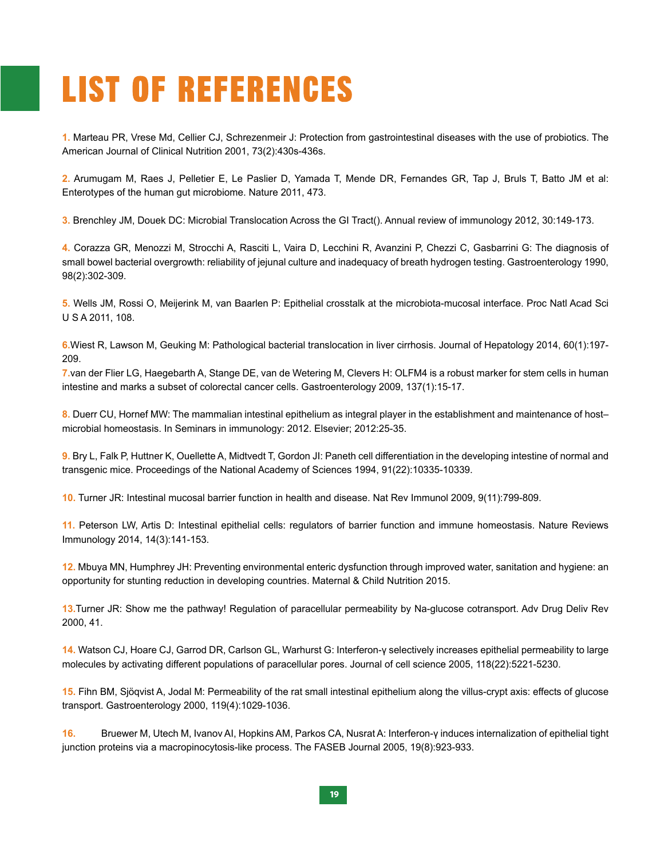# **LIST OF REFERENCES**

**1.** Marteau PR, Vrese Md, Cellier CJ, Schrezenmeir J: Protection from gastrointestinal diseases with the use of probiotics. The American Journal of Clinical Nutrition 2001, 73(2):430s-436s.

**2.** Arumugam M, Raes J, Pelletier E, Le Paslier D, Yamada T, Mende DR, Fernandes GR, Tap J, Bruls T, Batto JM et al: Enterotypes of the human gut microbiome. Nature 2011, 473.

**3.** Brenchley JM, Douek DC: Microbial Translocation Across the GI Tract(). Annual review of immunology 2012, 30:149-173.

**4.** Corazza GR, Menozzi M, Strocchi A, Rasciti L, Vaira D, Lecchini R, Avanzini P, Chezzi C, Gasbarrini G: The diagnosis of small bowel bacterial overgrowth: reliability of jejunal culture and inadequacy of breath hydrogen testing. Gastroenterology 1990, 98(2):302-309.

**5.** Wells JM, Rossi O, Meijerink M, van Baarlen P: Epithelial crosstalk at the microbiota-mucosal interface. Proc Natl Acad Sci U S A 2011, 108.

**6.**Wiest R, Lawson M, Geuking M: Pathological bacterial translocation in liver cirrhosis. Journal of Hepatology 2014, 60(1):197- 209.

**7.**van der Flier LG, Haegebarth A, Stange DE, van de Wetering M, Clevers H: OLFM4 is a robust marker for stem cells in human intestine and marks a subset of colorectal cancer cells. Gastroenterology 2009, 137(1):15-17.

**8.** Duerr CU, Hornef MW: The mammalian intestinal epithelium as integral player in the establishment and maintenance of host– microbial homeostasis. In Seminars in immunology: 2012. Elsevier; 2012:25-35.

**9.** Bry L, Falk P, Huttner K, Ouellette A, Midtvedt T, Gordon JI: Paneth cell differentiation in the developing intestine of normal and transgenic mice. Proceedings of the National Academy of Sciences 1994, 91(22):10335-10339.

**10.** Turner JR: Intestinal mucosal barrier function in health and disease. Nat Rev Immunol 2009, 9(11):799-809.

**11.** Peterson LW, Artis D: Intestinal epithelial cells: regulators of barrier function and immune homeostasis. Nature Reviews Immunology 2014, 14(3):141-153.

**12.** Mbuya MN, Humphrey JH: Preventing environmental enteric dysfunction through improved water, sanitation and hygiene: an opportunity for stunting reduction in developing countries. Maternal & Child Nutrition 2015.

**13.**Turner JR: Show me the pathway! Regulation of paracellular permeability by Na-glucose cotransport. Adv Drug Deliv Rev 2000, 41.

**14.** Watson CJ, Hoare CJ, Garrod DR, Carlson GL, Warhurst G: Interferon-γ selectively increases epithelial permeability to large molecules by activating different populations of paracellular pores. Journal of cell science 2005, 118(22):5221-5230.

**15.** Fihn BM, Sjöqvist A, Jodal M: Permeability of the rat small intestinal epithelium along the villus-crypt axis: effects of glucose transport. Gastroenterology 2000, 119(4):1029-1036.

**16.** Bruewer M, Utech M, Ivanov AI, Hopkins AM, Parkos CA, Nusrat A: Interferon-γ induces internalization of epithelial tight junction proteins via a macropinocytosis-like process. The FASEB Journal 2005, 19(8):923-933.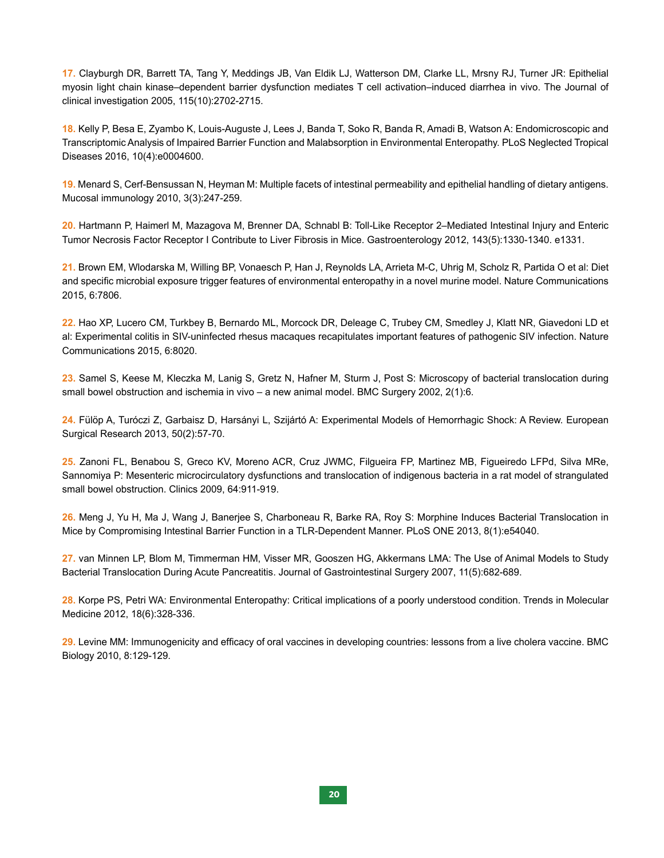**17.** Clayburgh DR, Barrett TA, Tang Y, Meddings JB, Van Eldik LJ, Watterson DM, Clarke LL, Mrsny RJ, Turner JR: Epithelial myosin light chain kinase–dependent barrier dysfunction mediates T cell activation–induced diarrhea in vivo. The Journal of clinical investigation 2005, 115(10):2702-2715.

**18.** Kelly P, Besa E, Zyambo K, Louis-Auguste J, Lees J, Banda T, Soko R, Banda R, Amadi B, Watson A: Endomicroscopic and Transcriptomic Analysis of Impaired Barrier Function and Malabsorption in Environmental Enteropathy. PLoS Neglected Tropical Diseases 2016, 10(4):e0004600.

**19.** Menard S, Cerf-Bensussan N, Heyman M: Multiple facets of intestinal permeability and epithelial handling of dietary antigens. Mucosal immunology 2010, 3(3):247-259.

**20.** Hartmann P, Haimerl M, Mazagova M, Brenner DA, Schnabl B: Toll-Like Receptor 2–Mediated Intestinal Injury and Enteric Tumor Necrosis Factor Receptor I Contribute to Liver Fibrosis in Mice. Gastroenterology 2012, 143(5):1330-1340. e1331.

**21.** Brown EM, Wlodarska M, Willing BP, Vonaesch P, Han J, Reynolds LA, Arrieta M-C, Uhrig M, Scholz R, Partida O et al: Diet and specific microbial exposure trigger features of environmental enteropathy in a novel murine model. Nature Communications 2015, 6:7806.

**22.** Hao XP, Lucero CM, Turkbey B, Bernardo ML, Morcock DR, Deleage C, Trubey CM, Smedley J, Klatt NR, Giavedoni LD et al: Experimental colitis in SIV-uninfected rhesus macaques recapitulates important features of pathogenic SIV infection. Nature Communications 2015, 6:8020.

**23.** Samel S, Keese M, Kleczka M, Lanig S, Gretz N, Hafner M, Sturm J, Post S: Microscopy of bacterial translocation during small bowel obstruction and ischemia in vivo – a new animal model. BMC Surgery 2002, 2(1):6.

**24.** Fülöp A, Turóczi Z, Garbaisz D, Harsányi L, Szijártó A: Experimental Models of Hemorrhagic Shock: A Review. European Surgical Research 2013, 50(2):57-70.

**25.** Zanoni FL, Benabou S, Greco KV, Moreno ACR, Cruz JWMC, Filgueira FP, Martinez MB, Figueiredo LFPd, Silva MRe, Sannomiya P: Mesenteric microcirculatory dysfunctions and translocation of indigenous bacteria in a rat model of strangulated small bowel obstruction. Clinics 2009, 64:911-919.

**26.** Meng J, Yu H, Ma J, Wang J, Banerjee S, Charboneau R, Barke RA, Roy S: Morphine Induces Bacterial Translocation in Mice by Compromising Intestinal Barrier Function in a TLR-Dependent Manner. PLoS ONE 2013, 8(1):e54040.

**27.** van Minnen LP, Blom M, Timmerman HM, Visser MR, Gooszen HG, Akkermans LMA: The Use of Animal Models to Study Bacterial Translocation During Acute Pancreatitis. Journal of Gastrointestinal Surgery 2007, 11(5):682-689.

**28.** Korpe PS, Petri WA: Environmental Enteropathy: Critical implications of a poorly understood condition. Trends in Molecular Medicine 2012, 18(6):328-336.

**29.** Levine MM: Immunogenicity and efficacy of oral vaccines in developing countries: lessons from a live cholera vaccine. BMC Biology 2010, 8:129-129.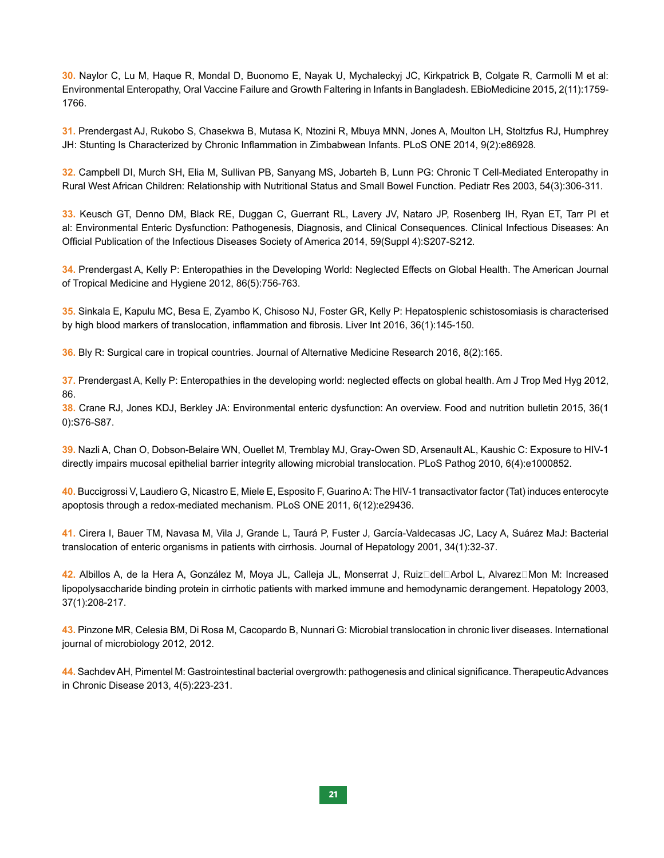**30.** Naylor C, Lu M, Haque R, Mondal D, Buonomo E, Nayak U, Mychaleckyj JC, Kirkpatrick B, Colgate R, Carmolli M et al: Environmental Enteropathy, Oral Vaccine Failure and Growth Faltering in Infants in Bangladesh. EBioMedicine 2015, 2(11):1759- 1766.

**31.** Prendergast AJ, Rukobo S, Chasekwa B, Mutasa K, Ntozini R, Mbuya MNN, Jones A, Moulton LH, Stoltzfus RJ, Humphrey JH: Stunting Is Characterized by Chronic Inflammation in Zimbabwean Infants. PLoS ONE 2014, 9(2):e86928.

**32.** Campbell DI, Murch SH, Elia M, Sullivan PB, Sanyang MS, Jobarteh B, Lunn PG: Chronic T Cell-Mediated Enteropathy in Rural West African Children: Relationship with Nutritional Status and Small Bowel Function. Pediatr Res 2003, 54(3):306-311.

**33.** Keusch GT, Denno DM, Black RE, Duggan C, Guerrant RL, Lavery JV, Nataro JP, Rosenberg IH, Ryan ET, Tarr PI et al: Environmental Enteric Dysfunction: Pathogenesis, Diagnosis, and Clinical Consequences. Clinical Infectious Diseases: An Official Publication of the Infectious Diseases Society of America 2014, 59(Suppl 4):S207-S212.

**34.** Prendergast A, Kelly P: Enteropathies in the Developing World: Neglected Effects on Global Health. The American Journal of Tropical Medicine and Hygiene 2012, 86(5):756-763.

**35.** Sinkala E, Kapulu MC, Besa E, Zyambo K, Chisoso NJ, Foster GR, Kelly P: Hepatosplenic schistosomiasis is characterised by high blood markers of translocation, inflammation and fibrosis. Liver Int 2016, 36(1):145-150.

**36.** Bly R: Surgical care in tropical countries. Journal of Alternative Medicine Research 2016, 8(2):165.

**37.** Prendergast A, Kelly P: Enteropathies in the developing world: neglected effects on global health. Am J Trop Med Hyg 2012, 86.

**38.** Crane RJ, Jones KDJ, Berkley JA: Environmental enteric dysfunction: An overview. Food and nutrition bulletin 2015, 36(1 0):S76-S87.

**39.** Nazli A, Chan O, Dobson-Belaire WN, Ouellet M, Tremblay MJ, Gray-Owen SD, Arsenault AL, Kaushic C: Exposure to HIV-1 directly impairs mucosal epithelial barrier integrity allowing microbial translocation. PLoS Pathog 2010, 6(4):e1000852.

**40.** Buccigrossi V, Laudiero G, Nicastro E, Miele E, Esposito F, Guarino A: The HIV-1 transactivator factor (Tat) induces enterocyte apoptosis through a redox-mediated mechanism. PLoS ONE 2011, 6(12):e29436.

41. Cirera I, Bauer TM, Navasa M, Vila J, Grande L, Taurá P, Fuster J, García-Valdecasas JC, Lacy A, Suárez MaJ: Bacterial translocation of enteric organisms in patients with cirrhosis. Journal of Hepatology 2001, 34(1):32-37.

42. Albillos A, de la Hera A, González M, Moya JL, Calleja JL, Monserrat J, Ruiz□del□Arbol L, Alvarez□Mon M: Increased lipopolysaccharide binding protein in cirrhotic patients with marked immune and hemodynamic derangement. Hepatology 2003, 37(1):208-217.

**43.** Pinzone MR, Celesia BM, Di Rosa M, Cacopardo B, Nunnari G: Microbial translocation in chronic liver diseases. International journal of microbiology 2012, 2012.

**44.** Sachdev AH, Pimentel M: Gastrointestinal bacterial overgrowth: pathogenesis and clinical significance. Therapeutic Advances in Chronic Disease 2013, 4(5):223-231.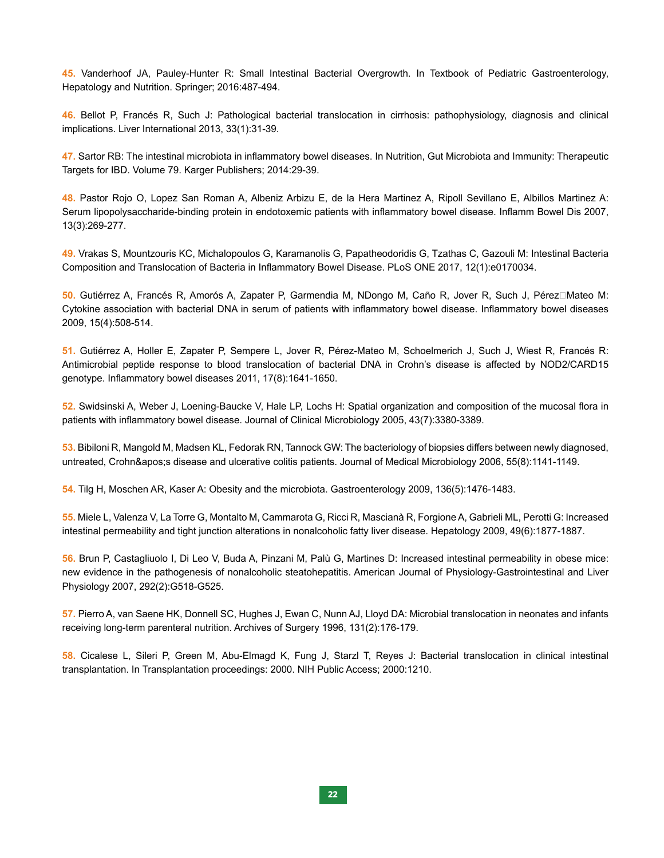**45.** Vanderhoof JA, Pauley-Hunter R: Small Intestinal Bacterial Overgrowth. In Textbook of Pediatric Gastroenterology, Hepatology and Nutrition. Springer; 2016:487-494.

**46.** Bellot P, Francés R, Such J: Pathological bacterial translocation in cirrhosis: pathophysiology, diagnosis and clinical implications. Liver International 2013, 33(1):31-39.

**47.** Sartor RB: The intestinal microbiota in inflammatory bowel diseases. In Nutrition, Gut Microbiota and Immunity: Therapeutic Targets for IBD. Volume 79. Karger Publishers; 2014:29-39.

**48.** Pastor Rojo O, Lopez San Roman A, Albeniz Arbizu E, de la Hera Martinez A, Ripoll Sevillano E, Albillos Martinez A: Serum lipopolysaccharide-binding protein in endotoxemic patients with inflammatory bowel disease. Inflamm Bowel Dis 2007, 13(3):269-277.

**49.** Vrakas S, Mountzouris KC, Michalopoulos G, Karamanolis G, Papatheodoridis G, Tzathas C, Gazouli M: Intestinal Bacteria Composition and Translocation of Bacteria in Inflammatory Bowel Disease. PLoS ONE 2017, 12(1):e0170034.

**50.** Gutiérrez A, Francés R, Amorós A, Zapater P, Garmendia M, NDongo M, Caño R, Jover R, Such J, Pérez□Mateo M: Cytokine association with bacterial DNA in serum of patients with inflammatory bowel disease. Inflammatory bowel diseases 2009, 15(4):508-514.

**51.** Gutiérrez A, Holler E, Zapater P, Sempere L, Jover R, Pérez-Mateo M, Schoelmerich J, Such J, Wiest R, Francés R: Antimicrobial peptide response to blood translocation of bacterial DNA in Crohn's disease is affected by NOD2/CARD15 genotype. Inflammatory bowel diseases 2011, 17(8):1641-1650.

**52.** Swidsinski A, Weber J, Loening-Baucke V, Hale LP, Lochs H: Spatial organization and composition of the mucosal flora in patients with inflammatory bowel disease. Journal of Clinical Microbiology 2005, 43(7):3380-3389.

**53.** Bibiloni R, Mangold M, Madsen KL, Fedorak RN, Tannock GW: The bacteriology of biopsies differs between newly diagnosed, untreated, Crohn' s disease and ulcerative colitis patients. Journal of Medical Microbiology 2006, 55(8):1141-1149.

**54.** Tilg H, Moschen AR, Kaser A: Obesity and the microbiota. Gastroenterology 2009, 136(5):1476-1483.

**55.** Miele L, Valenza V, La Torre G, Montalto M, Cammarota G, Ricci R, Mascianà R, Forgione A, Gabrieli ML, Perotti G: Increased intestinal permeability and tight junction alterations in nonalcoholic fatty liver disease. Hepatology 2009, 49(6):1877-1887.

**56.** Brun P, Castagliuolo I, Di Leo V, Buda A, Pinzani M, Palù G, Martines D: Increased intestinal permeability in obese mice: new evidence in the pathogenesis of nonalcoholic steatohepatitis. American Journal of Physiology-Gastrointestinal and Liver Physiology 2007, 292(2):G518-G525.

**57.** Pierro A, van Saene HK, Donnell SC, Hughes J, Ewan C, Nunn AJ, Lloyd DA: Microbial translocation in neonates and infants receiving long-term parenteral nutrition. Archives of Surgery 1996, 131(2):176-179.

**58.** Cicalese L, Sileri P, Green M, Abu-Elmagd K, Fung J, Starzl T, Reyes J: Bacterial translocation in clinical intestinal transplantation. In Transplantation proceedings: 2000. NIH Public Access; 2000:1210.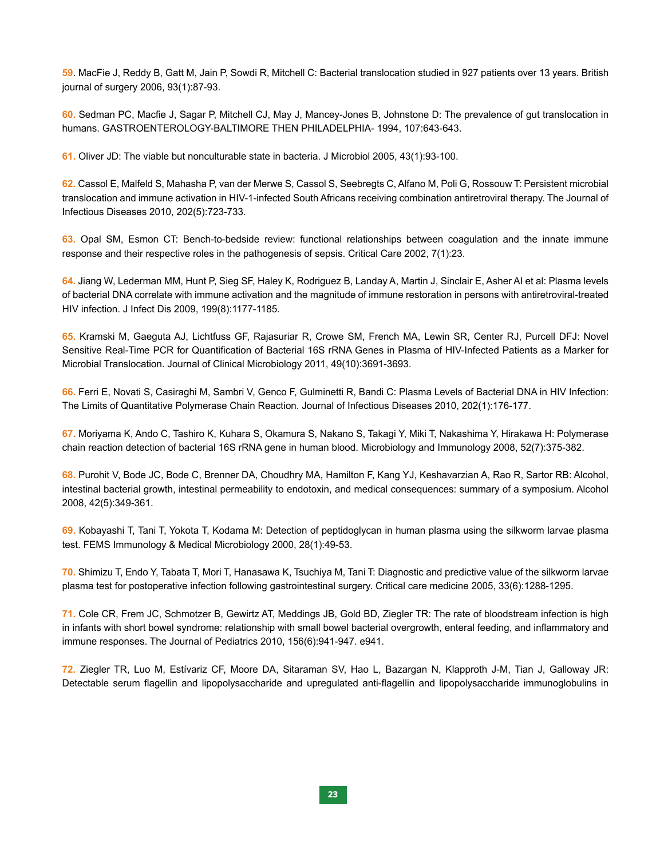**59**. MacFie J, Reddy B, Gatt M, Jain P, Sowdi R, Mitchell C: Bacterial translocation studied in 927 patients over 13 years. British journal of surgery 2006, 93(1):87-93.

**60.** Sedman PC, Macfie J, Sagar P, Mitchell CJ, May J, Mancey-Jones B, Johnstone D: The prevalence of gut translocation in humans. GASTROENTEROLOGY-BALTIMORE THEN PHILADELPHIA- 1994, 107:643-643.

**61.** Oliver JD: The viable but nonculturable state in bacteria. J Microbiol 2005, 43(1):93-100.

**62.** Cassol E, Malfeld S, Mahasha P, van der Merwe S, Cassol S, Seebregts C, Alfano M, Poli G, Rossouw T: Persistent microbial translocation and immune activation in HIV-1-infected South Africans receiving combination antiretroviral therapy. The Journal of Infectious Diseases 2010, 202(5):723-733.

**63.** Opal SM, Esmon CT: Bench-to-bedside review: functional relationships between coagulation and the innate immune response and their respective roles in the pathogenesis of sepsis. Critical Care 2002, 7(1):23.

**64.** Jiang W, Lederman MM, Hunt P, Sieg SF, Haley K, Rodriguez B, Landay A, Martin J, Sinclair E, Asher AI et al: Plasma levels of bacterial DNA correlate with immune activation and the magnitude of immune restoration in persons with antiretroviral-treated HIV infection. J Infect Dis 2009, 199(8):1177-1185.

**65.** Kramski M, Gaeguta AJ, Lichtfuss GF, Rajasuriar R, Crowe SM, French MA, Lewin SR, Center RJ, Purcell DFJ: Novel Sensitive Real-Time PCR for Quantification of Bacterial 16S rRNA Genes in Plasma of HIV-Infected Patients as a Marker for Microbial Translocation. Journal of Clinical Microbiology 2011, 49(10):3691-3693.

**66.** Ferri E, Novati S, Casiraghi M, Sambri V, Genco F, Gulminetti R, Bandi C: Plasma Levels of Bacterial DNA in HIV Infection: The Limits of Quantitative Polymerase Chain Reaction. Journal of Infectious Diseases 2010, 202(1):176-177.

**67.** Moriyama K, Ando C, Tashiro K, Kuhara S, Okamura S, Nakano S, Takagi Y, Miki T, Nakashima Y, Hirakawa H: Polymerase chain reaction detection of bacterial 16S rRNA gene in human blood. Microbiology and Immunology 2008, 52(7):375-382.

**68.** Purohit V, Bode JC, Bode C, Brenner DA, Choudhry MA, Hamilton F, Kang YJ, Keshavarzian A, Rao R, Sartor RB: Alcohol, intestinal bacterial growth, intestinal permeability to endotoxin, and medical consequences: summary of a symposium. Alcohol 2008, 42(5):349-361.

**69.** Kobayashi T, Tani T, Yokota T, Kodama M: Detection of peptidoglycan in human plasma using the silkworm larvae plasma test. FEMS Immunology & Medical Microbiology 2000, 28(1):49-53.

**70.** Shimizu T, Endo Y, Tabata T, Mori T, Hanasawa K, Tsuchiya M, Tani T: Diagnostic and predictive value of the silkworm larvae plasma test for postoperative infection following gastrointestinal surgery. Critical care medicine 2005, 33(6):1288-1295.

**71.** Cole CR, Frem JC, Schmotzer B, Gewirtz AT, Meddings JB, Gold BD, Ziegler TR: The rate of bloodstream infection is high in infants with short bowel syndrome: relationship with small bowel bacterial overgrowth, enteral feeding, and inflammatory and immune responses. The Journal of Pediatrics 2010, 156(6):941-947. e941.

**72.** Ziegler TR, Luo M, Estívariz CF, Moore DA, Sitaraman SV, Hao L, Bazargan N, Klapproth J-M, Tian J, Galloway JR: Detectable serum flagellin and lipopolysaccharide and upregulated anti-flagellin and lipopolysaccharide immunoglobulins in